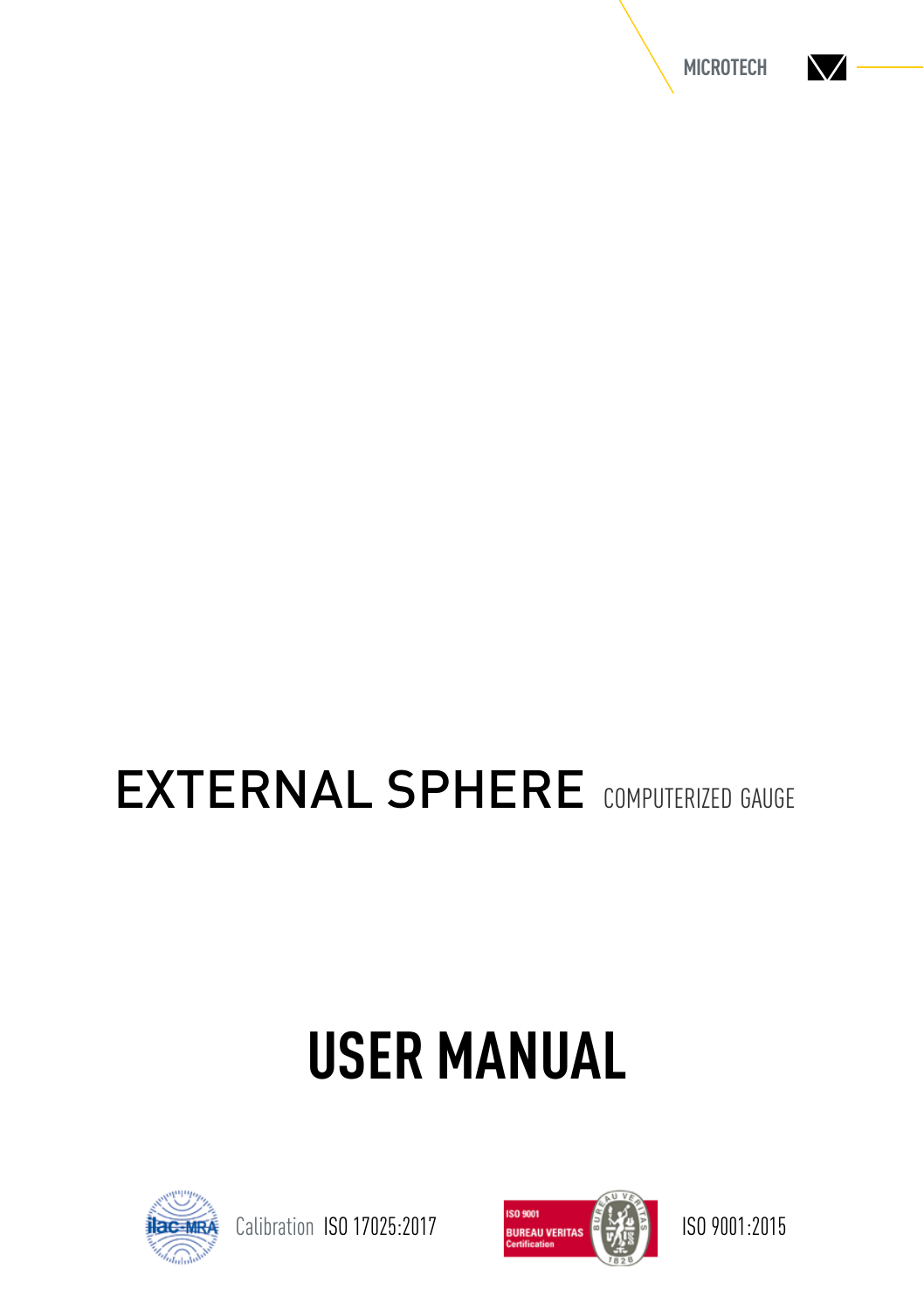

## EXTERNAL SPHERE computerized gauge

# **USER MANUAL**



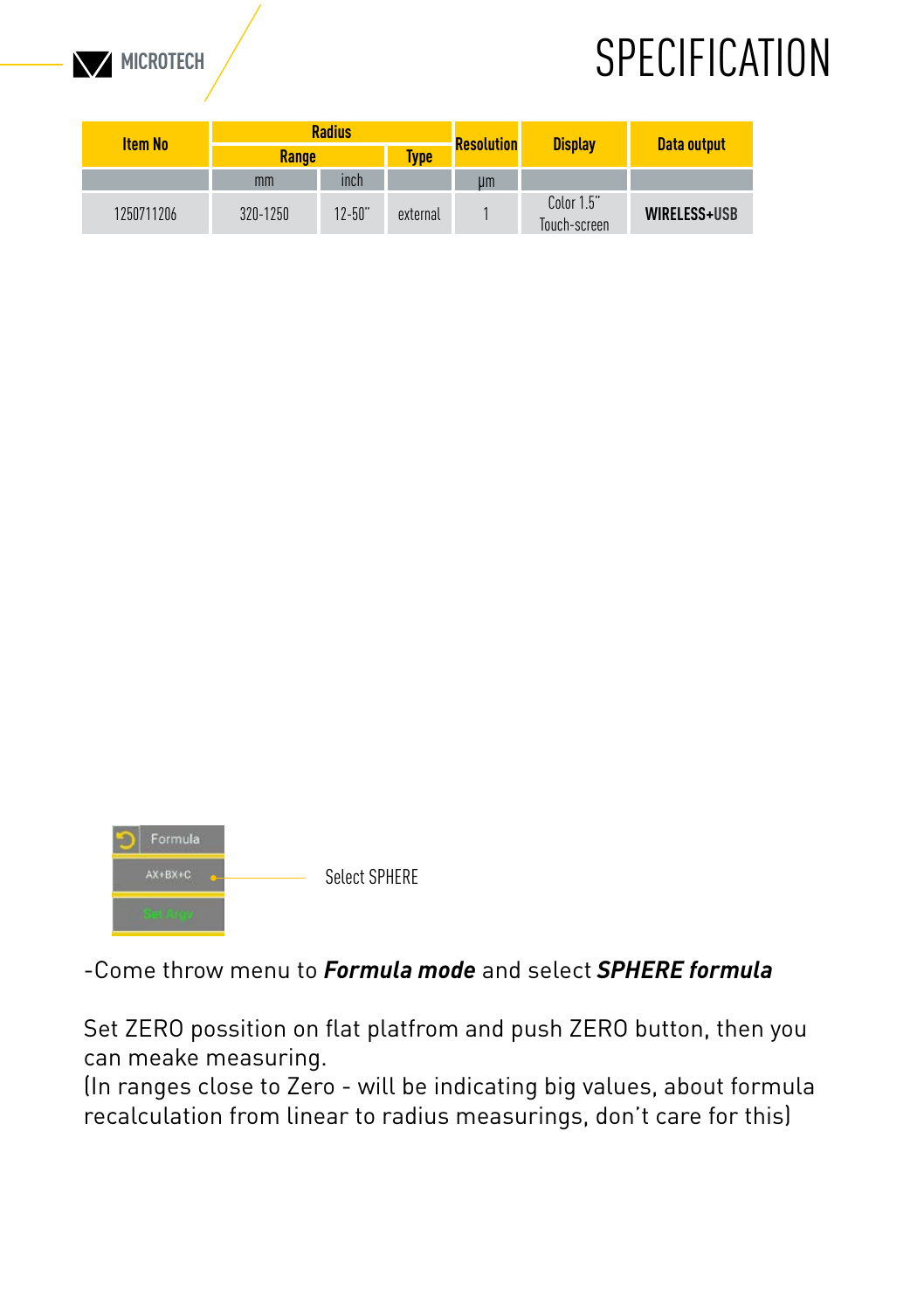

#### **MICROTECH SPECIFICATION**

| <b>Item No</b> | <b>Radius</b> |            |          | <b>Resolution</b> |                            |              |  |
|----------------|---------------|------------|----------|-------------------|----------------------------|--------------|--|
|                | Range         |            | Tvpe     |                   | <b>Display</b>             | Data output  |  |
|                | mm            | inch       |          | um                |                            |              |  |
| 1250711206     | 320-1250      | $12 - 50"$ | external |                   | Color 1.5"<br>Touch-screen | WIRELESS+USB |  |



#### -Come throw menu to *Formula mode* and select *SPHERE formula*

Set ZERO possition on flat platfrom and push ZERO button, then you can meake measuring.

(In ranges close to Zero - will be indicating big values, about formula recalculation from linear to radius measurings, don't care for this)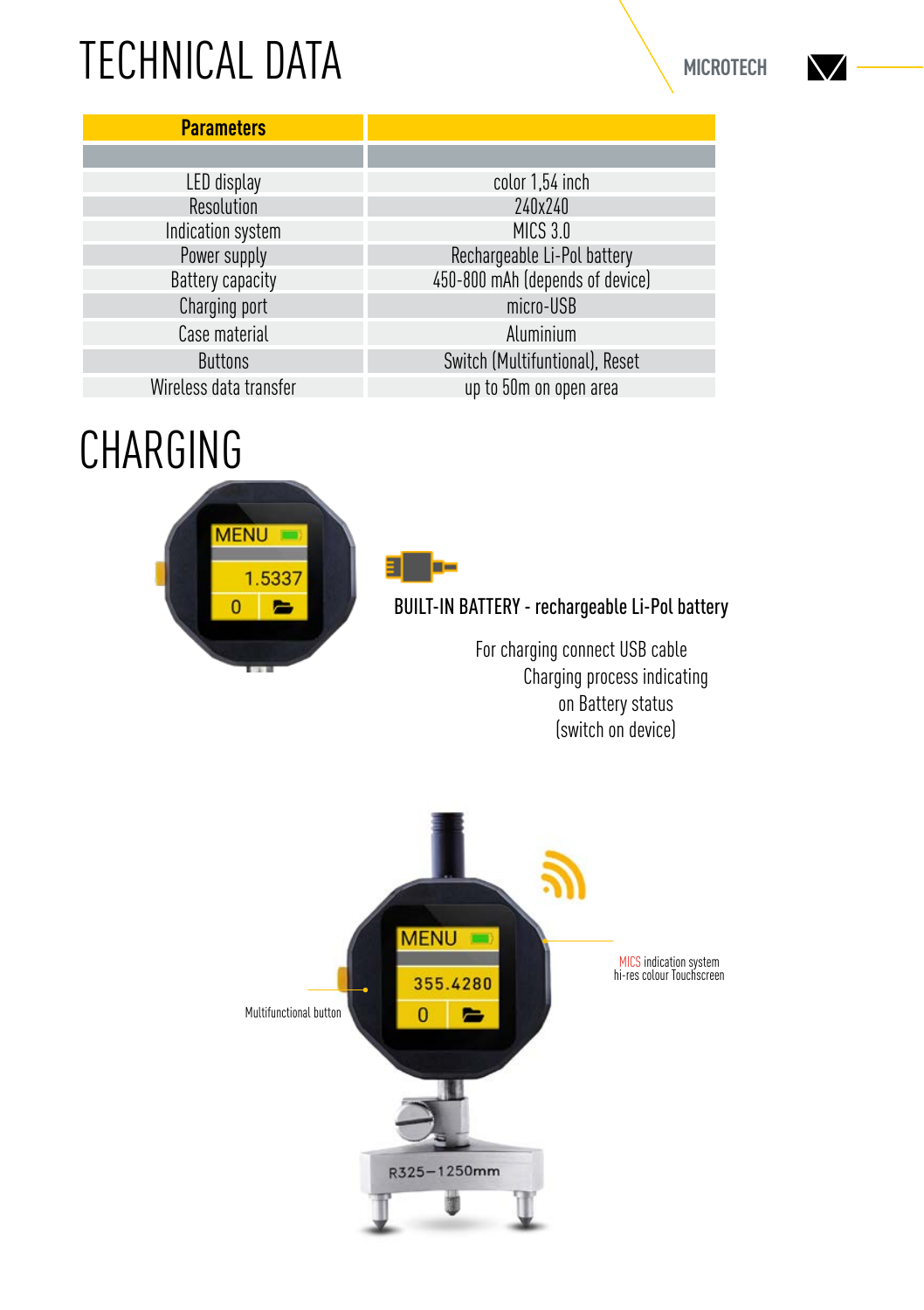### TECHNICAL DATA

| <b>Parameters</b>      |                                 |
|------------------------|---------------------------------|
|                        |                                 |
| LED display            | color 1,54 inch                 |
| Resolution             | 240x240                         |
| Indication system      | <b>MICS 3.0</b>                 |
| Power supply           | Rechargeable Li-Pol battery     |
| Battery capacity       | 450-800 mAh (depends of device) |
| Charging port          | micro-USB                       |
| Case material          | Aluminium                       |
| <b>Buttons</b>         | Switch (Multifuntional), Reset  |
| Wireless data transfer | up to 50m on open area          |

### CHARGING





BUILT-IN BATTERY - rechargeable Li-Pol battery

For charging connect USB cable Charging process indicating on Battery status (switch on device)



NZ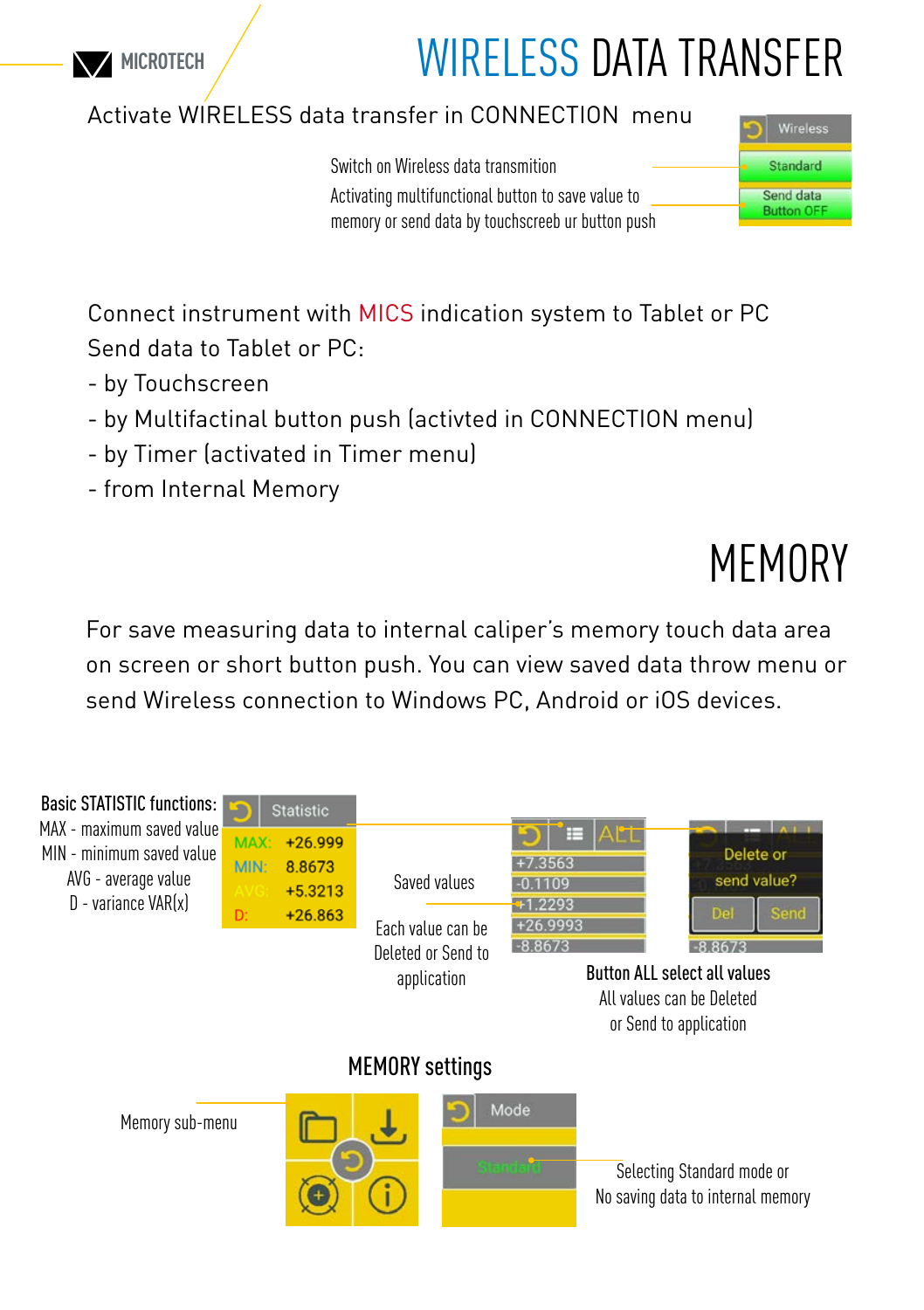

#### WIRFLESS DATA TRANSFER

#### Activate WIRELESS data transfer in CONNECTION menu

Switch on Wireless data transmition Activating multifunctional button to save value to memory or send data by touchscreeb ur button push



Connect instrument with MICS indication system to Tablet or PC Send data to Tablet or PC:

- by Touchscreen
- by Multifactinal button push (activted in CONNECTION menu)
- by Timer (activated in Timer menu)
- from Internal Memory

## MEMORY

For save measuring data to internal caliper's memory touch data area on screen or short button push. You can view saved data throw menu or send Wireless connection to Windows PC, Android or iOS devices.

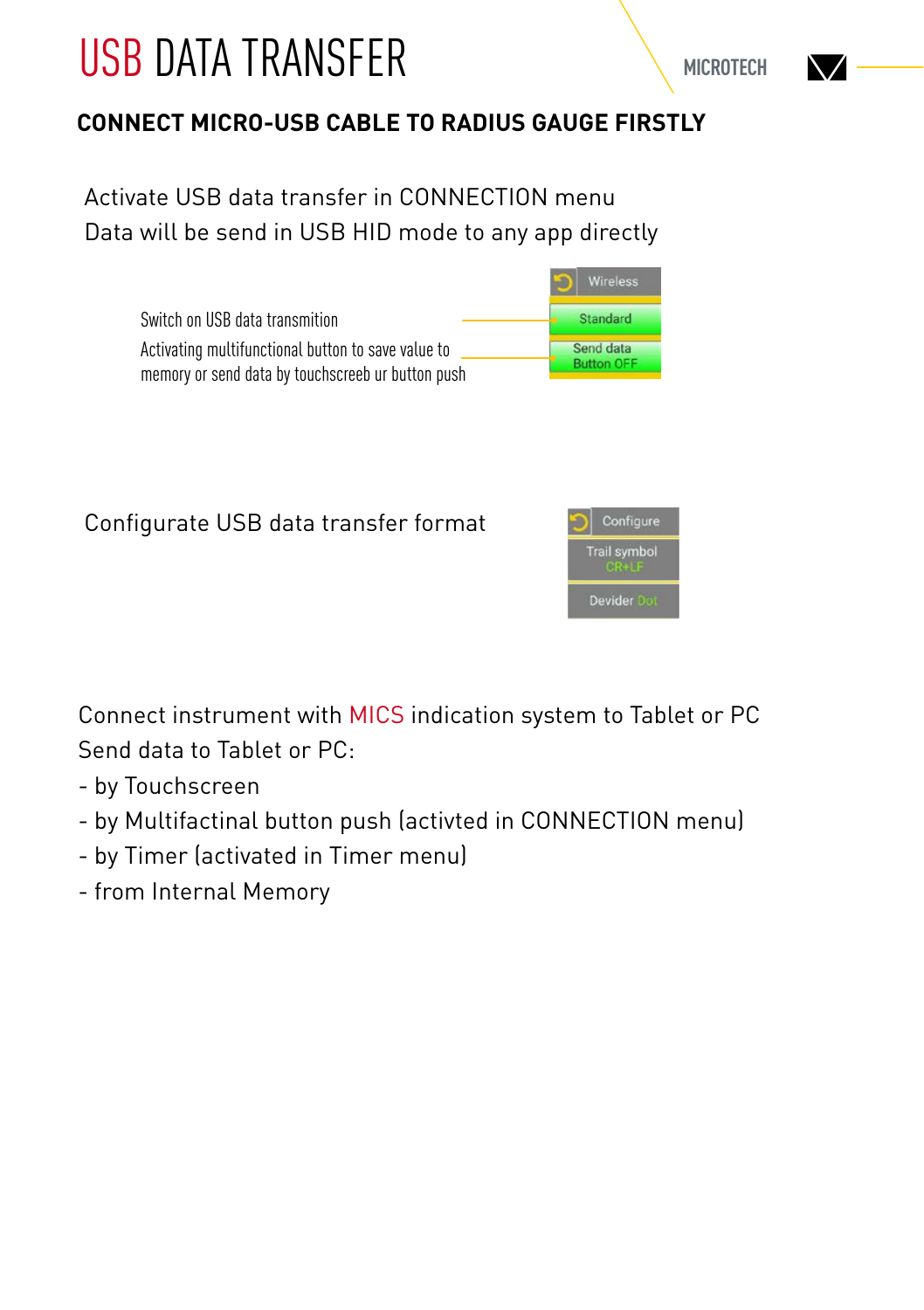### USB DATA TRANSFER

#### **CONNECT MICRO-USB CABLE TO RADIUS GAUGE FIRSTLY**

Activate USB data transfer in CONNECTION menu Data will be send in USB HID mode to any app directly

|                                                    | Wireless          |
|----------------------------------------------------|-------------------|
| Switch on USB data transmition                     | <b>Standard</b>   |
| Activating multifunctional button to save value to | Send data         |
| memory or send data by touchscreeb ur button push  | <b>Button OFF</b> |

Configurate USB data transfer format



Connect instrument with MICS indication system to Tablet or PC Send data to Tablet or PC:

- by Touchscreen
- by Multifactinal button push (activted in CONNECTION menu)
- by Timer (activated in Timer menu)
- from Internal Memory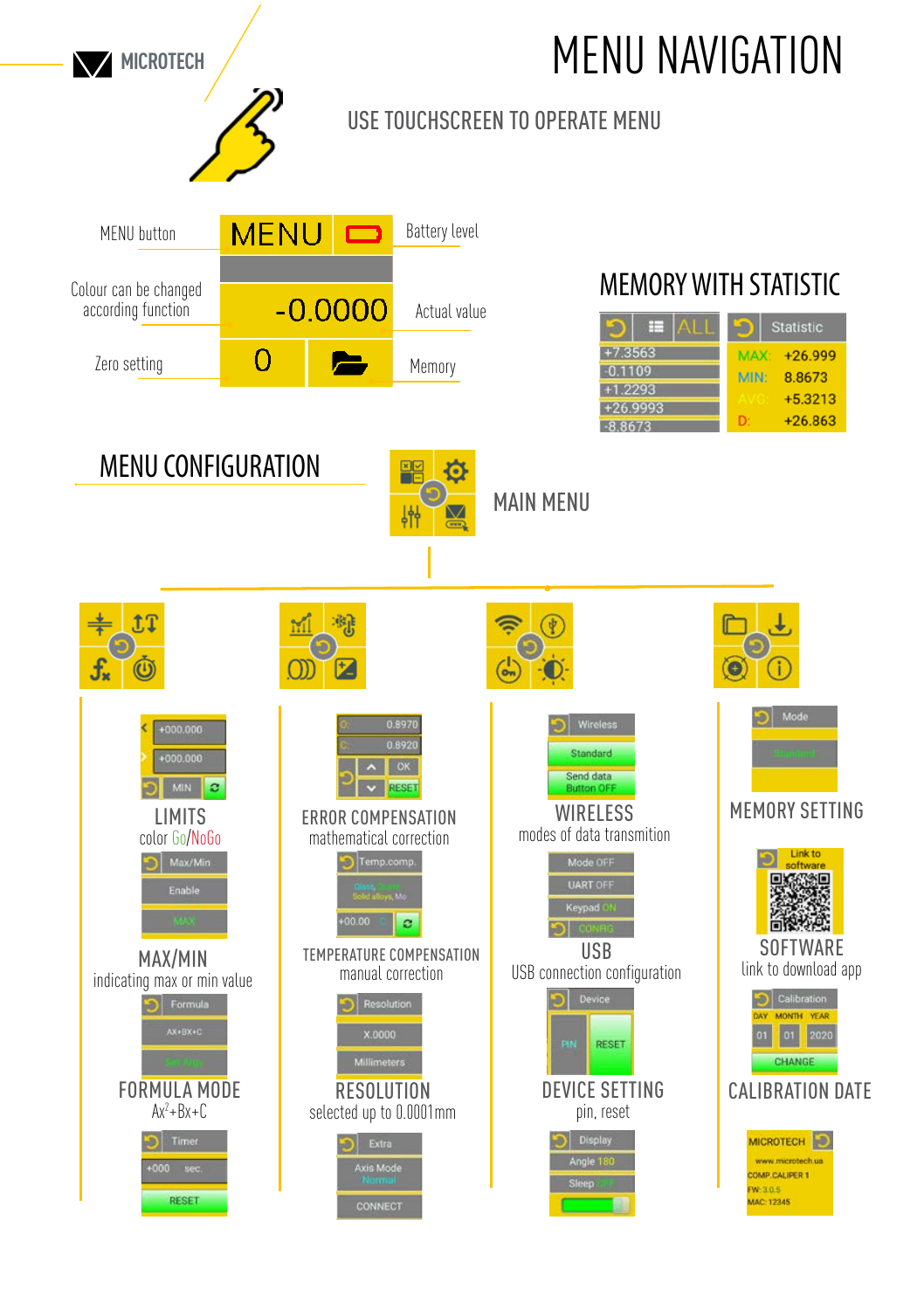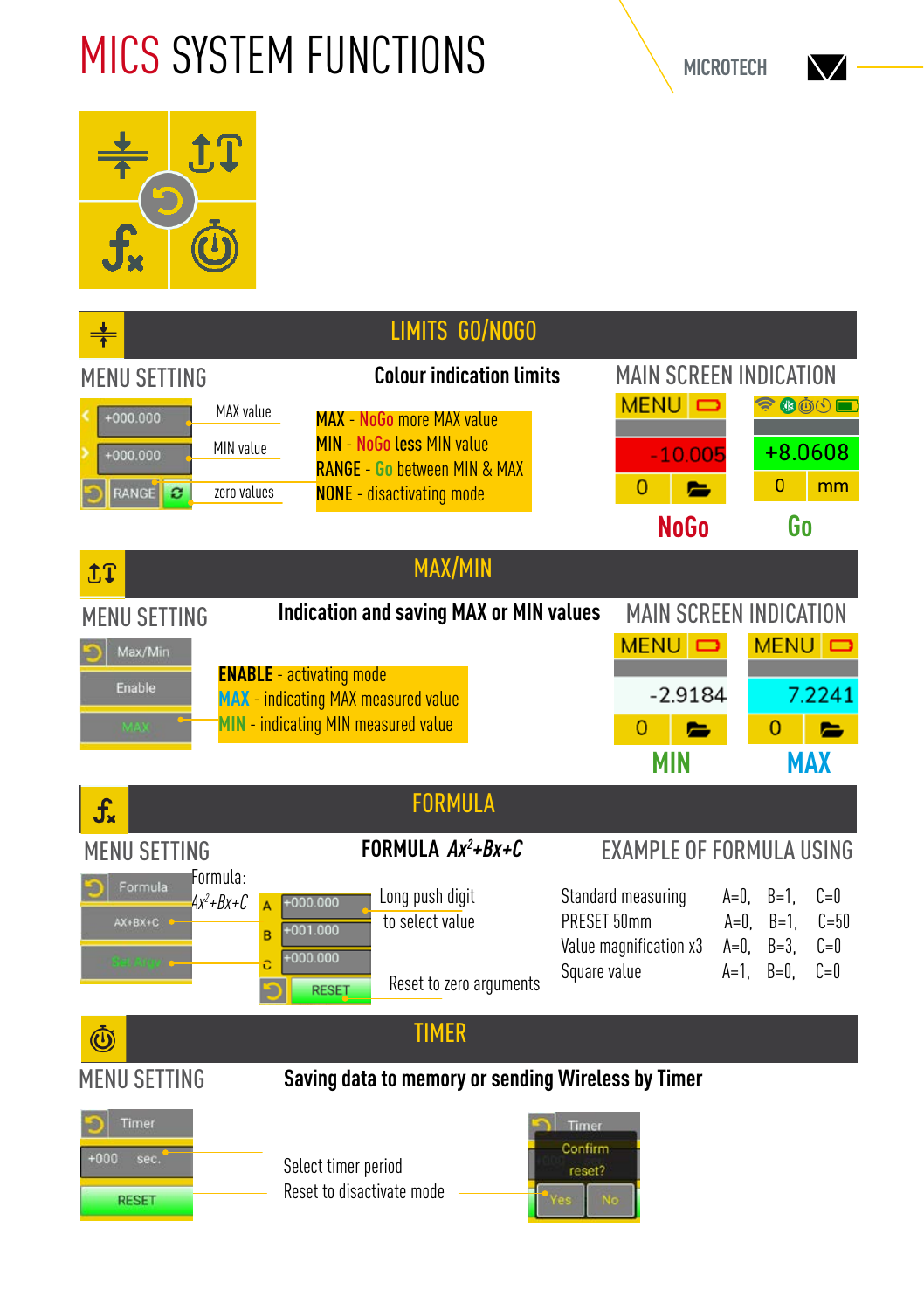## MICS SYSTEM FUNCTIONS



|                                                                                    | LIMITS GO/NOGO                                                                                                                                      |                                  |                                              |                                    |                                          |                                           |
|------------------------------------------------------------------------------------|-----------------------------------------------------------------------------------------------------------------------------------------------------|----------------------------------|----------------------------------------------|------------------------------------|------------------------------------------|-------------------------------------------|
| <b>MENU SETTING</b>                                                                | <b>Colour indication limits</b>                                                                                                                     |                                  | <b>MAIN SCREEN INDICATION</b>                |                                    |                                          |                                           |
| MAX value<br>$+000.000$<br>MIN value<br>$+000.000$<br>RANGE<br>zero values<br>ø    | <b>MAX - NoGo more MAX value</b><br><b>MIN - NoGo less MIN value</b><br><b>RANGE - Go hetween MIN &amp; MAX</b><br><b>NONE</b> - disactivating mode |                                  | MENU D<br>$-10.005$<br>0<br>е                |                                    | 令母めい■<br>+8.0608<br>0                    | mm                                        |
|                                                                                    |                                                                                                                                                     |                                  | <b>NoGo</b>                                  |                                    | Go                                       |                                           |
| <b>九丁</b>                                                                          | <b>MAX/MIN</b>                                                                                                                                      |                                  |                                              |                                    |                                          |                                           |
| <b>MENU SETTING</b>                                                                | <b>Indication and saving MAX or MIN values</b>                                                                                                      |                                  | <b>MAIN SCREEN INDICATION</b>                |                                    |                                          |                                           |
| Max/Min                                                                            |                                                                                                                                                     |                                  | MENU <b>D</b>                                |                                    | MENU D                                   |                                           |
| Enable                                                                             | <b>ENABLE</b> - activating mode<br><b>MAX</b> - indicating MAX measured value                                                                       |                                  | $-2.9184$                                    |                                    |                                          | 7.2241                                    |
| <b>MAY</b>                                                                         | MIN - indicating MIN measured value                                                                                                                 |                                  | 0<br>$\blacksquare$                          |                                    | $\overline{0}$                           |                                           |
|                                                                                    |                                                                                                                                                     |                                  | <b>MIN</b>                                   |                                    | <b>MAX</b>                               |                                           |
| $\mathbf{f}_{\mathbf{x}}$                                                          | <b>FORMULA</b>                                                                                                                                      |                                  |                                              |                                    |                                          |                                           |
| MENU SETTING                                                                       | FORMULA $Ax^2+Bx+C$                                                                                                                                 |                                  | <b>EXAMPLE OF FORMULA USING</b>              |                                    |                                          |                                           |
| Formula:<br>Formula<br>$Ax^2+Bx+C$<br>$\overline{A}$<br>AX+BX+C<br>B<br>iel Argy o | Long push digit<br>$+000.000$<br>to select value<br>$+001.000$<br>$+000.000$<br>Reset to zero arguments<br><b>RESET</b>                             | PRESET 50mm<br>Square value      | Standard measuring<br>Value magnification x3 | A=0.<br>$A=0$ .<br>$A=0$ .<br>A=1. | $B=1$ .<br>$B=1$ .<br>$B=3$ .<br>$B=0$ . | $f = 0$<br>$C = 50$<br>$C = 0$<br>$C = 0$ |
| $\bm{\mathbb{O}}$                                                                  | <b>TIMER</b>                                                                                                                                        |                                  |                                              |                                    |                                          |                                           |
| <b>MENU SETTING</b>                                                                | Saving data to memory or sending Wireless by Timer                                                                                                  |                                  |                                              |                                    |                                          |                                           |
| Timer<br>$+000$<br>sec.<br><b>RESET</b>                                            | Select timer period<br>Reset to disactivate mode                                                                                                    | Timer<br>Confirm<br>reset?<br>No |                                              |                                    |                                          |                                           |

NZ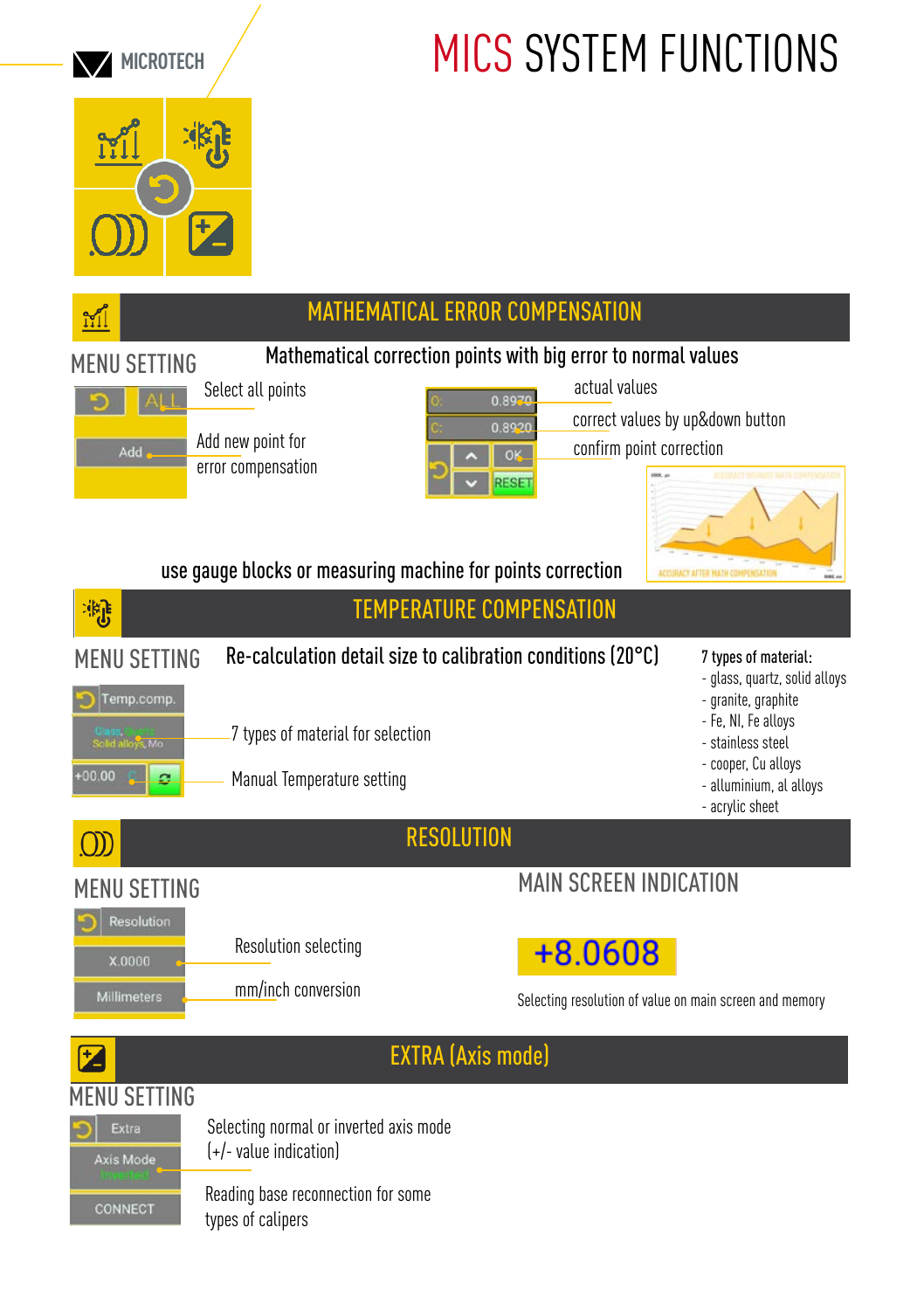

## MICS SYSTEM FUNCTIONS

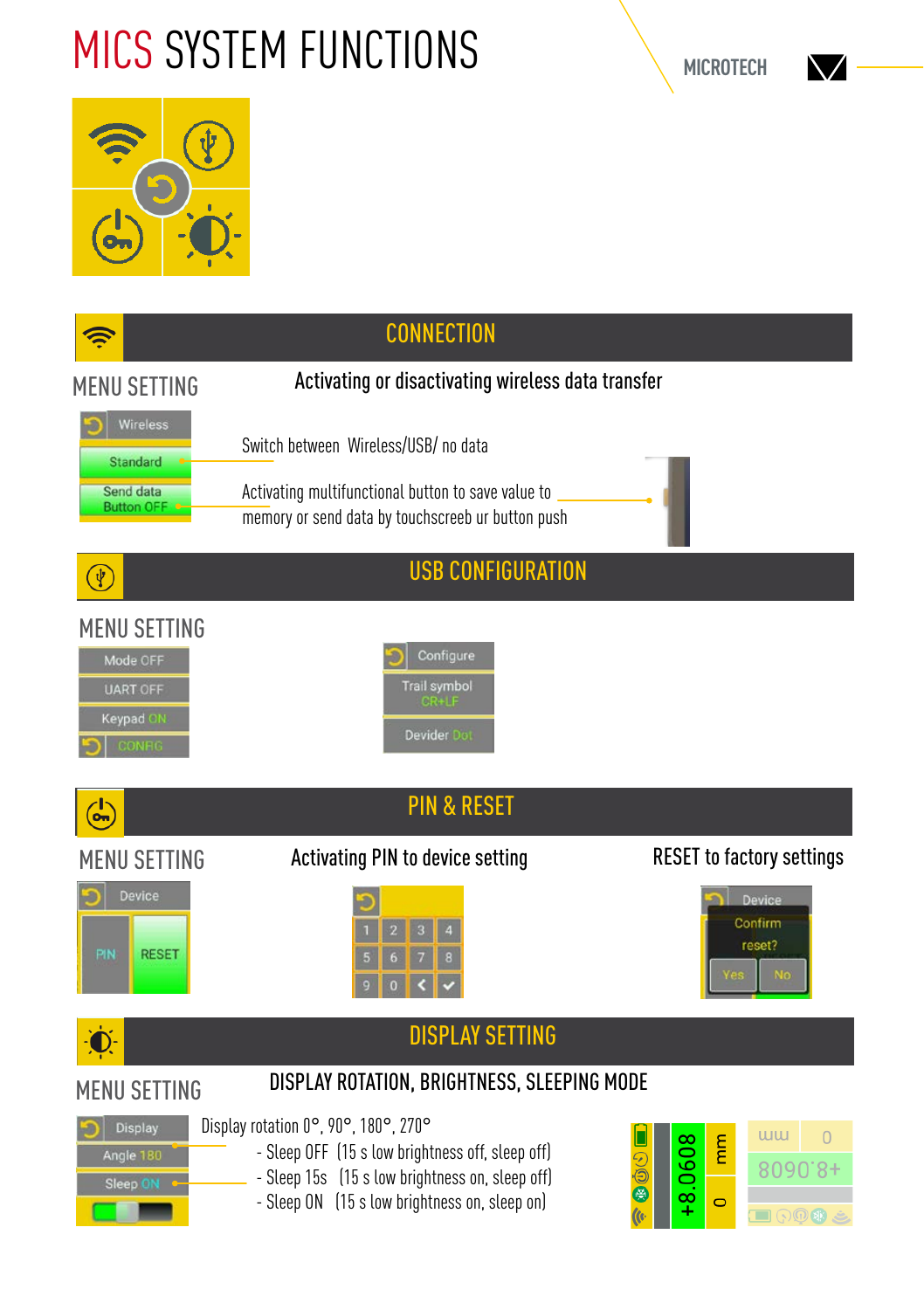## MICS SYSTEM FUNCTIONS





|                                                                           | <b>CONNECTION</b>                                                                                                                                                                            |                                                                                                                                                        |
|---------------------------------------------------------------------------|----------------------------------------------------------------------------------------------------------------------------------------------------------------------------------------------|--------------------------------------------------------------------------------------------------------------------------------------------------------|
| <b>MENU SETTING</b>                                                       | Activating or disactivating wireless data transfer                                                                                                                                           |                                                                                                                                                        |
| Wireless<br><b>Standard</b><br>Send data<br><b>Button OFF</b>             | Switch between Wireless/USB/no data<br>Activating multifunctional button to save value to<br>memory or send data by touchscreeb ur button push                                               |                                                                                                                                                        |
| $\left[ \psi \right]$                                                     | <b>USB CONFIGURATION</b>                                                                                                                                                                     |                                                                                                                                                        |
| <b>MENU SETTING</b><br>Mode OFF<br><b>UART OFF</b><br>Keypad ON<br>CONFIG | Configure<br><b>Trail symbol</b><br><b>GR+1F</b><br>Devider Dot                                                                                                                              |                                                                                                                                                        |
| $\overline{a}$                                                            | <b>PIN &amp; RESET</b>                                                                                                                                                                       |                                                                                                                                                        |
| MENU SETTING                                                              | <b>Activating PIN to device setting</b>                                                                                                                                                      | <b>RESET to factory settings</b>                                                                                                                       |
| Device<br>PIN<br><b>RESET</b>                                             |                                                                                                                                                                                              | Device<br>Confirm<br>reset?<br><b>No</b>                                                                                                               |
|                                                                           | <b>DISPLAY SETTING</b>                                                                                                                                                                       |                                                                                                                                                        |
| <b>MENU SETTING</b>                                                       | DISPLAY ROTATION, BRIGHTNESS, SLEEPING MODE                                                                                                                                                  |                                                                                                                                                        |
| <b>Display</b><br>Angle 180<br>Sleep ON                                   | Display rotation 0°, 90°, 180°, 270°<br>- Sleep OFF (15 s low brightness off, sleep off)<br>- Sleep 15s (15 s low brightness on, sleep off)<br>- Sleep ON (15 s low brightness on, sleep on) | <b>ww</b><br>$\Omega$<br>.0608<br>mm<br>$\odot$<br>8090.8+<br>e<br>$\infty$<br>$\bullet$<br>÷<br>llo.<br>$\blacksquare$ $\odot$ $\odot$ $\blacksquare$ |

NZ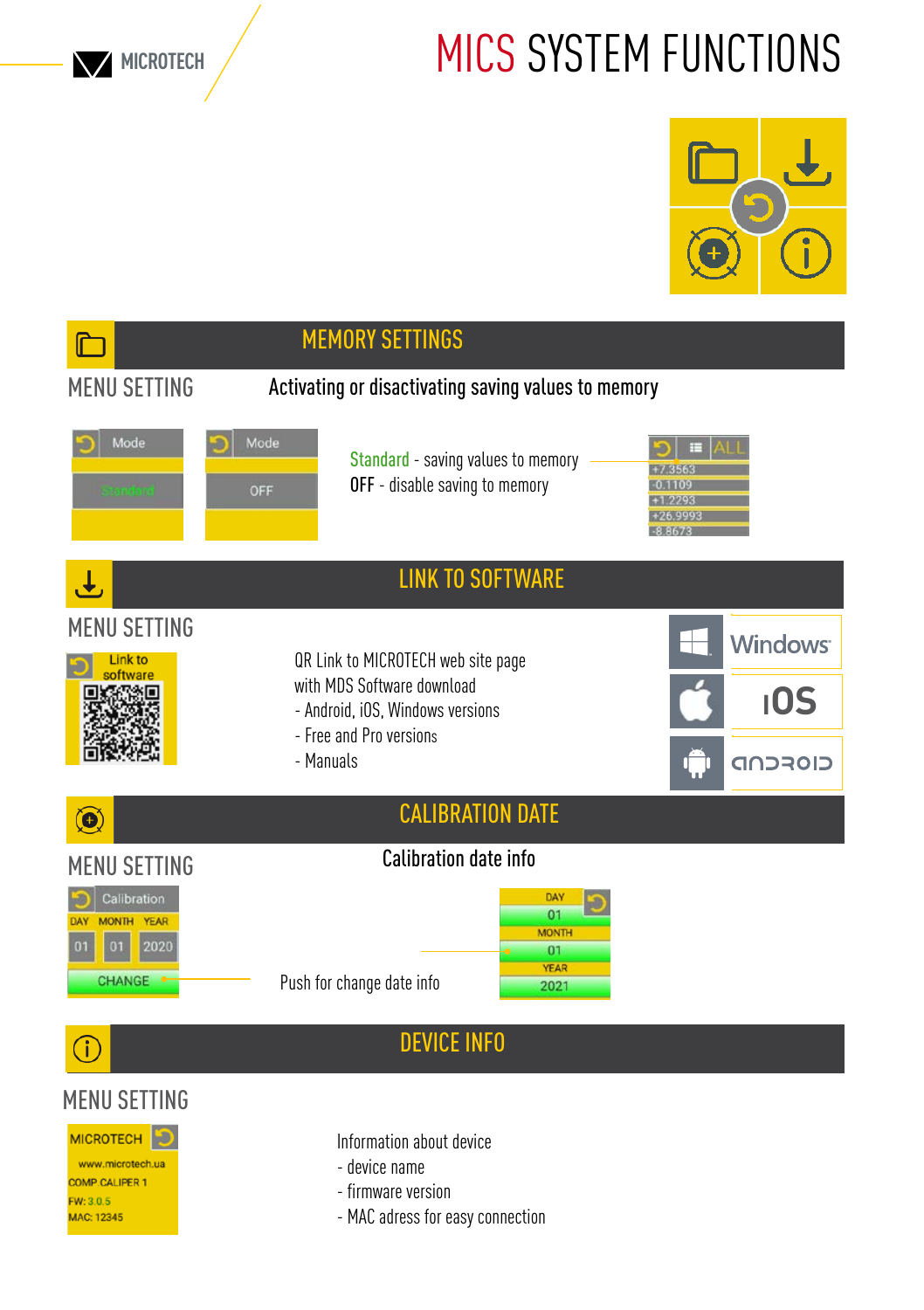**MICROTECH**

## MICS SYSTEM FUNCTIONS



|                                                                                                 |                                                                | <b>MEMORY SETTINGS</b>                                                                              |                                                        |                |
|-------------------------------------------------------------------------------------------------|----------------------------------------------------------------|-----------------------------------------------------------------------------------------------------|--------------------------------------------------------|----------------|
| <b>MENU SETTING</b>                                                                             |                                                                | Activating or disactivating saving values to memory                                                 |                                                        |                |
| Mode<br>tondo d                                                                                 | Mode<br>OFF                                                    | OFF - disable saving to memory                                                                      | Standard - saving values to memory                     |                |
|                                                                                                 |                                                                |                                                                                                     | <b>LINK TO SOFTWARE</b>                                |                |
| <b>MENU SETTING</b><br>ink to                                                                   | QR Link to MICROTECH web site page                             |                                                                                                     |                                                        | <b>Windows</b> |
|                                                                                                 | with MDS Software download<br>- Android, iOS, Windows versions |                                                                                                     | 10S                                                    |                |
|                                                                                                 |                                                                | - Free and Pro versions<br>- Manuals                                                                |                                                        | CIOFCND        |
| $\bullet$                                                                                       |                                                                |                                                                                                     | <b>CALIBRATION DATE</b>                                |                |
| <b>MENU SETTING</b>                                                                             |                                                                | Calibration date info                                                                               |                                                        |                |
| Calibration<br><b>MONTH</b><br>YEAR<br>DAY<br>2020<br>01<br>01<br><b>CHANGE</b>                 |                                                                | Push for change date info                                                                           | DAY<br>01<br><b>MONTH</b><br>01<br><b>YEAR</b><br>2021 |                |
|                                                                                                 |                                                                | <b>DEVICE INFO</b>                                                                                  |                                                        |                |
| <b>MENU SETTING</b>                                                                             |                                                                |                                                                                                     |                                                        |                |
| <b>MICROTECH</b><br>www.microtech.ua<br><b>COMP.CALIPER 1</b><br>FW: 3.0.5<br><b>MAC: 12345</b> |                                                                | Information about device<br>- device name<br>- firmware version<br>- MAC adress for easy connection |                                                        |                |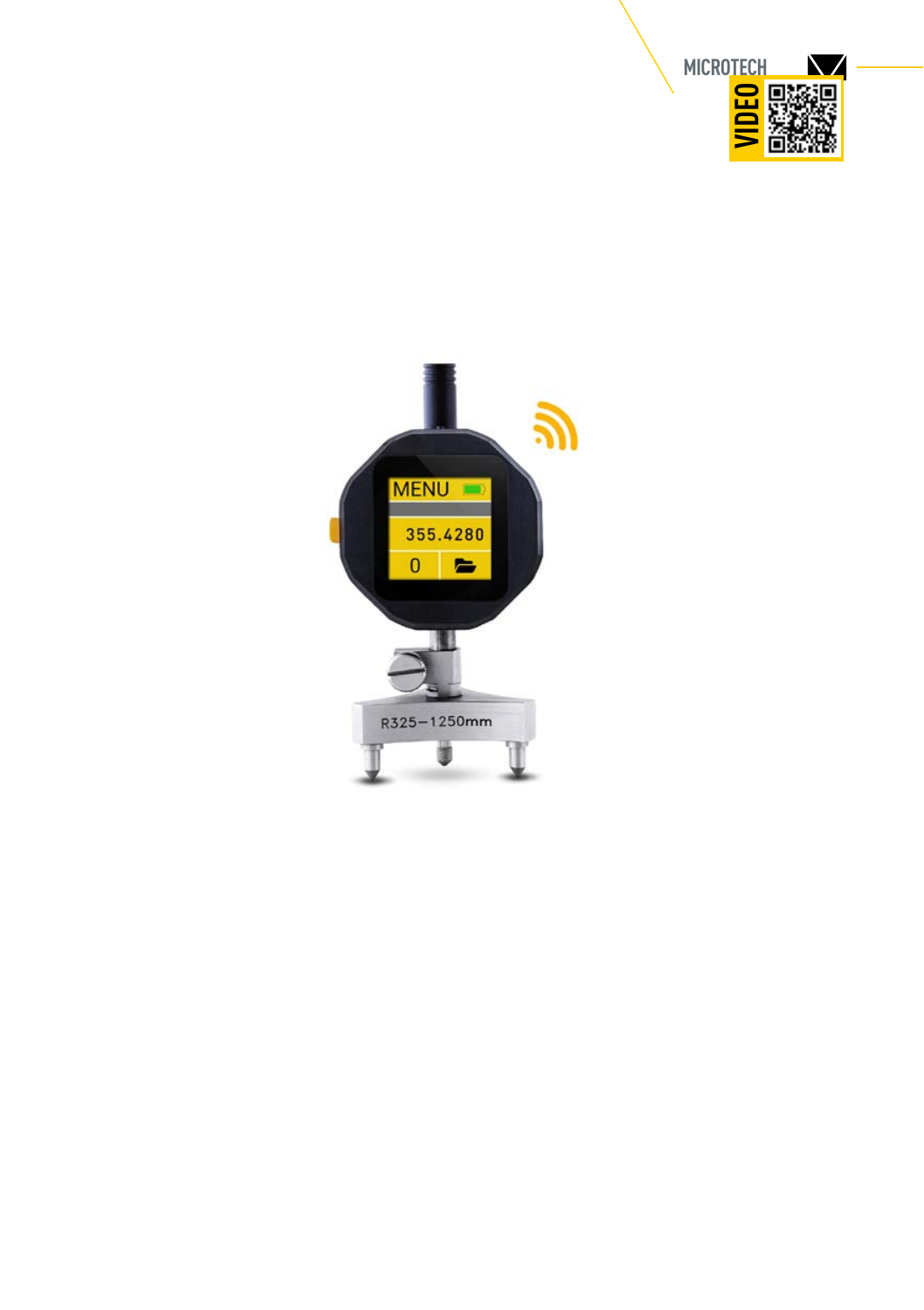